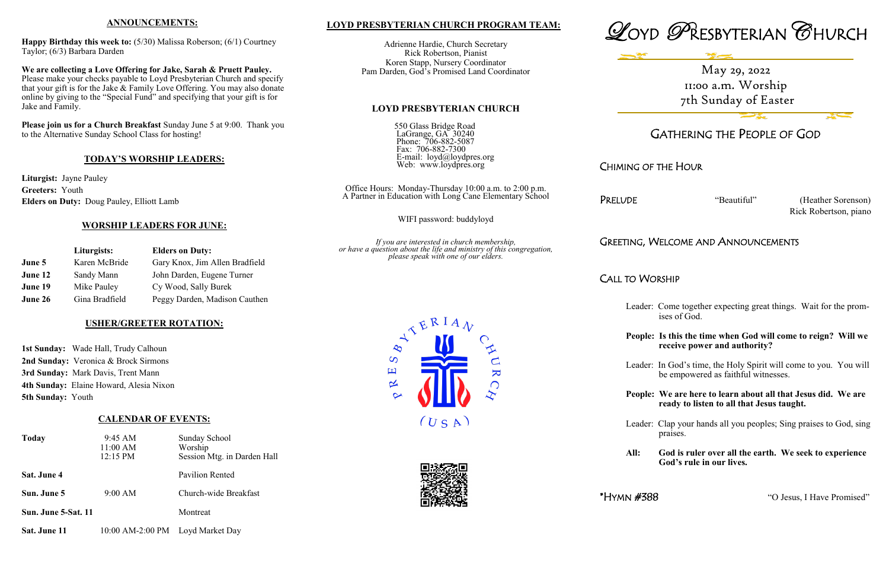## **LOYD PRESBYTERIAN CHURCH PROGRAM TEAM:**

Adrienne Hardie, Church Secretary Rick Robertson, Pianist Koren Stapp, Nursery Coordinator Pam Darden, God's Promised Land Coordinator

#### **LOYD PRESBYTERIAN CHURCH**

550 Glass Bridge Road LaGrange, GA 30240 Phone: 706-882-5087 Fax: 706-882-7300 E-mail: loyd@loydpres.org Web: www.loydpres.org

> Office Hours: Monday-Thursday 10:00 a.m. to 2:00 p.m. A Partner in Education with Long Cane Elementary School

PRELUDE "Beautiful" (Heather Sorenson) Rick Robertson, piano

WIFI password: buddyloyd

*If you are interested in church membership, or have a question about the life and ministry of this congregation, please speak with one of our elders.*

 $\overline{\mathbf{K}}$ 





# GATHERING THE PEOPLE OF GOD

## CHIMING OF THE HOUR

## GREETING, WELCOME AND ANNOUNCEMENTS

CALL TO WORSHIP



 $(U S A)$ 



 $\overline{S}$ 凹

 $\propto$ 

- Leader: Come together expecting great things. Wait for the prom ises of God.
- **People: Is this the time when God will come to reign? Will we receive power and authority?**
- Leader: In God's time, the Holy Spirit will come to you. You will be empowered as faithful witnesses.
- **People: We are here to learn about all that Jesus did. We are ready to listen to all that Jesus taught.**
- Leader: Clap your hands all you peoples; Sing praises to God, sing praises.
- **All: God is ruler over all the earth. We seek to experience God's rule in our lives.**

\*HYMN #388 "O Jesus, I Have Promised"

#### **ANNOUNCEMENTS:**

**Happy Birthday this week to:** (5/30) Malissa Roberson; (6/1) Courtney Taylor; (6/3) Barbara Darden

**We are collecting a Love Offering for Jake, Sarah & Pruett Pauley.**  Please make your checks payable to Loyd Presbyterian Church and specify that your gift is for the Jake & Family Love Offering. You may also donate online by giving to the "Special Fund" and specifying that your gift is for Jake and Family.

**Please join us for a Church Breakfast** Sunday June 5 at 9:00. Thank you to the Alternative Sunday School Class for hosting!

## **TODAY'S WORSHIP LEADERS:**

**Liturgist:** Jayne Pauley **Greeters:** Youth **Elders on Duty:** Doug Pauley, Elliott Lamb

#### **WORSHIP LEADERS FOR JUNE:**

|         | Liturgists:    | <b>Elders on Duty:</b>         |  |  |
|---------|----------------|--------------------------------|--|--|
| June 5  | Karen McBride  | Gary Knox, Jim Allen Bradfield |  |  |
| June 12 | Sandy Mann     | John Darden, Eugene Turner     |  |  |
| June 19 | Mike Pauley    | Cy Wood, Sally Burek           |  |  |
| June 26 | Gina Bradfield | Peggy Darden, Madison Cauthen  |  |  |

#### **USHER/GREETER ROTATION:**

**1st Sunday:** Wade Hall, Trudy Calhoun **2nd Sunday:** Veronica & Brock Sirmons **3rd Sunday:** Mark Davis, Trent Mann **4th Sunday:** Elaine Howard, Alesia Nixon **5th Sunday:** Youth

#### **CALENDAR OF EVENTS:**

| <b>Today</b>               | 9:45 AM<br>11:00 AM<br>12:15 PM  | Sunday School<br>Worship<br>Session Mtg. in Darden Hall |
|----------------------------|----------------------------------|---------------------------------------------------------|
| Sat. June 4                |                                  | Pavilion Rented                                         |
| Sun. June 5                | 9:00 AM                          | Church-wide Breakfast                                   |
| <b>Sun. June 5-Sat. 11</b> |                                  | Montreat                                                |
| Sat. June 11               | 10:00 AM-2:00 PM Loyd Market Day |                                                         |

May 29, 2022 11:00 a.m. Worship 7th Sunday of Easter